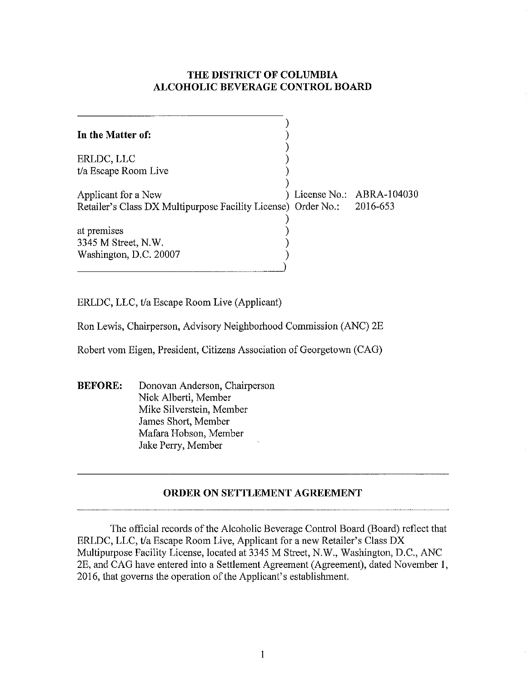### **THE DISTRICT OF COLUMBIA ALCOHOLIC BEVERAGE CONTROL BOARD**

| In the Matter of:                                                      |  |                          |
|------------------------------------------------------------------------|--|--------------------------|
| ERLDC, LLC                                                             |  |                          |
| t/a Escape Room Live                                                   |  |                          |
| Applicant for a New                                                    |  | License No.: ABRA-104030 |
| Retailer's Class DX Multipurpose Facility License) Order No.: 2016-653 |  |                          |
|                                                                        |  |                          |
| at premises                                                            |  |                          |
| 3345 M Street, N.W.                                                    |  |                          |
| Washington, D.C. 20007                                                 |  |                          |
|                                                                        |  |                          |

ERLDC, LLC, tfa Escape Room Live (Applicant)

Ron Lewis, Chairperson, Advisory Neighborhood Commission (ANC) 2E

Robert vom Eigen, President, Citizens Association of Georgetown (CAG)

**BEFORE:** Donovan Anderson, Chairperson Nick Alberti, Member Mike Silverstein, Member James Short, Member Mafara Hobson, Member Jake Perry, Member

## **ORDER ON SETTLEMENT AGREEMENT**

The official records of the Alcoholic Beverage Control Board (Board) reflect that ERLDC, LLC, tla Escape Room Live, Applicant for a new Retailer's Class DX Multipurpose Facility License, located at 3345 M Street, N.W., Washington, D.C., ANC 2E, and CAG have entered into a Settlement Agreement (Agreement), dated November **1,**  2016, that governs the operation of the Applicant's establishment.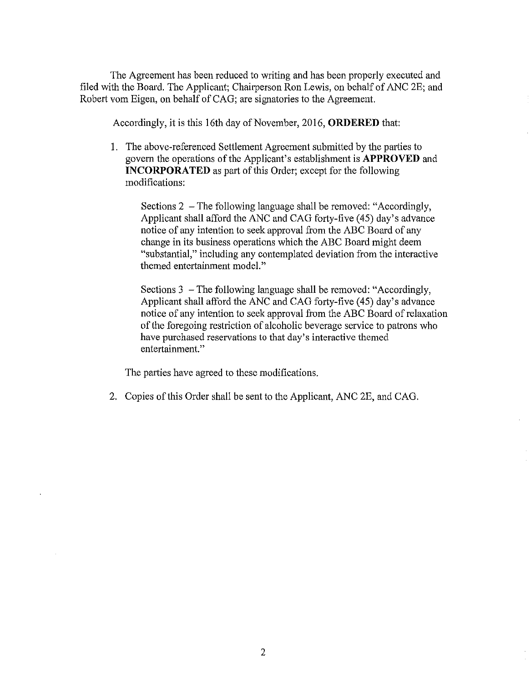The Agreement has been reduced to writing and has been properly executed and filed with the Board. The Applicant; Chairperson Ron Lewis, on behalf of ANC 2E; and Robert vom Eigen, on behalf of CAG; are signatories to the Agreement.

Accordingly, it is this 16th day of November, 2016, **ORDERED** that:

1. The above-referenced Settlement Agreement submitted by the parties to govern the operations of the Applicant's establishment is **APPROVED** and **INCORPORATED** as part of this Order; except for the following modifications:

Sections 2 - The following language shall be removed: "Accordingly, Applicant shall afford the ANC and CAG forty-five (45) day's advance notice of any intention to seek approval from the ABC Board of any change in its business operations which the ABC Board might deem "substantial," including any contemplated deviation from the interactive themed entertainment model."

Sections 3 - The following language shall be removed: "Accordingly, Applicant shall afford the ANC and CAG forty-five (45) day's advance notice of any intention to seek approval from the ABC Board of relaxation of the foregoing restriction of alcoholic beverage service to patrons who have purchased reservations to that day's interactive themed entertainment."

The parties have agreed to these modifications.

2. Copies of this Order shall be sent to the Applicant, ANC 2E, and CAG.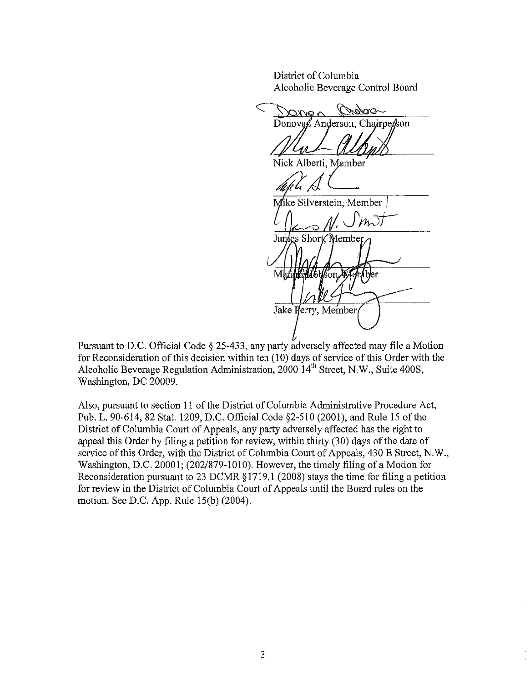District of Colmnbia Alcoholic Beverage Control Board

**MODOR**  $\sim$  av $\chi$ C Donovan Anderson, Chairperson  $\cal{U}$ Nick Alberti, Member  $\mathbb{Z}$   $\mathbb{Z}$ Mike Silverstein, Member  $n\overline{\mathcal{J}}$ James Short Member Mht **hall I bláson** íber Jake Herry, Member

Pursuant to D.C. Official Code § 25-433, any party adversely affected may file a Motion for Reconsideration of this decision within ten (10) days of service of this Order with the Alcoholic Beverage Regulation Administration,  $2000 \, 14^{th}$  Street, N.W., Suite 400S, Washington, DC 20009.

Also, pursuant to section 11 of the District of Columbia Administrative Procedure Act, Pub. 1. 90-614, 82 Stat. 1209, D.C. Official Code §2-510 (2001), and Rule 15 of the District of Columbia Court of Appeals, any party adversely affected has the right to appeal this Order by filing a petition for review, within thirty (30) days of the date of service of this Order, with the District of Columbia Court of Appeals, 430 E Street, N.W., Washington, D.C. 20001; *(202/879-1010)*. However, the timely filing of a Motion for Reconsideration pursuant to 23 DCMR § 1719.1 (2008) stays the time for filing a petition for review in the District of Columbia Court of Appeals until the Board rules on the motion. See D.C. App. Rule 15(b) (2004).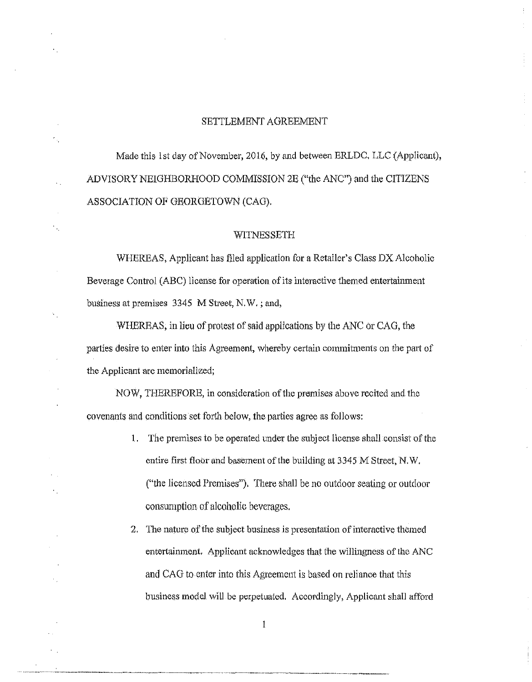#### SETTLEMENT AGREEMENT

Made this 1st day of November, 2016, by and between ERLDC. LLC (Applicant), ADVISORY NEIGHBORHOOD COMMISSION 28 ("the ANC") and the CITIZENS ASSOCIATION OF GEORGETOWN (CAG).

#### WITNESSETH

WHEREAS, Applicant has filed application for a Retailer's Class DX Alcoholic Beverage Control (ABC) license for operation of its interactive themed entertainment business at premises 3345 M Street, N.W. : and,

WHEREAS, in lieu of protest of said applications by the ANC or CAG, the parties desire to enter into this Agreement, whereby certain commitments on the pmi of the Applicant arc memorialized:

NOW, THEREFORE, in consideration of the premises above recited and the covenants and conditions set forth below, the parties agree as follows:

- 1. The premises to be operated the subject license shall consist of the entire first floor and basement of the building at 3345 M Street, N.W. ("the licensed Premises"). There shall be no outdoor seating or outdoor consumption of alcoholic beverages.
- 2. The nature of the subject business is presentation of interactive themed entertainment. Applicant acknowledges that the willingness of the ANC and CAG to enter into this Agreement is based on reliance that this business model will be perpetuated. Accordingly, Applicant shall afford

 $\mathbf{I}% _{t}\left| \mathbf{I}_{t}\right| =\mathbf{I}_{t}\left| \mathbf{I}_{t}\right|$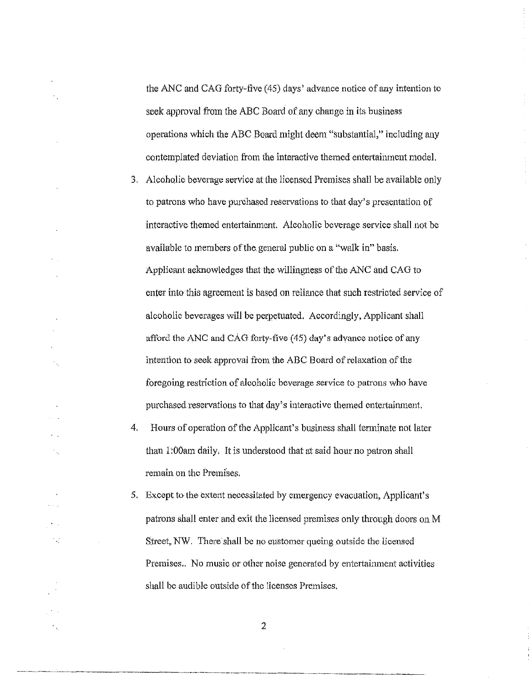the ANC and CAG forty-five (45) days' advance notice of any intention to seek approval from the ABC Board of any change in its business operations which the ABC Board might deem "substantial," including any contemplated deviation from the interactive themed entertainment model.

- 3. Alcoholic beverage service at the licensed Premises shall be available only to patrons who have purchased reservations to that day's presentation of interactive themed entertainment. Alcoholic beverage service shall not be available to members of the general public on a "walk in" basis. Applicant acknowledges that the willingness of the ANC and CAG to enter into this agreement is based on reliance that such restricted service of alcoholic beverages will be perpetnated. Accordingly, Applicant shall afford the ANC and CAG forty-five  $(45)$  day's advance notice of any intention to seek approval from the ABC Board of relaxation of the foregoing restriction of alcoholic beverage service to patrons who have purchased reservations to that day's interactive themed entertainment.
- 4. Hours of operation of the Applicant's business shall terminate not later than 1.00 am daily. It is understood that at said hour no patron shall remain on the Promises.

У.,

12

5. Except to the extent necessitated by emergency evacuation, Applicant's patrons shall enter and exit the licensed premises only through doors on M Street, NW. There shall be no customer queing outside the licensed Premises.. No music or other noise generated by entertainment activities shall be audible outside of the licenses Premises.

2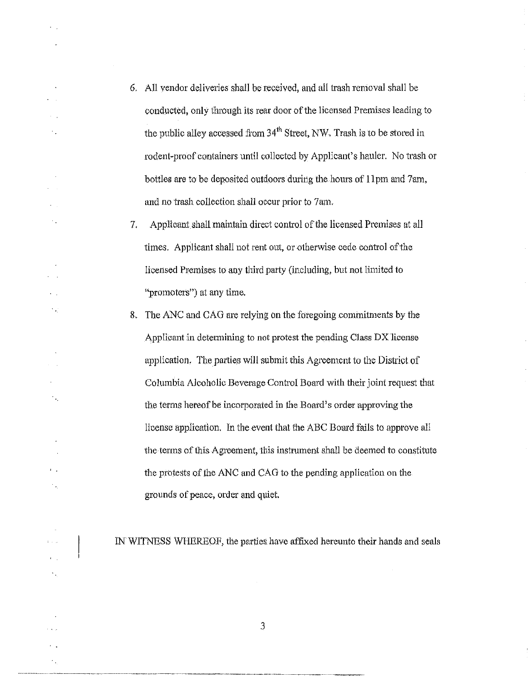- 6. All vendor deliveries shall be received, and all trash removal shall be conducted, only through its rear door of the licensed Premises leading to the public alley accessed from  $34<sup>th</sup>$  Street, NW. Trash is to be stored in rodent-proof containers until collected by Applicant's hauler. No trash or bottles are to be deposited outdoors during the hours of **II** pm and 7am, and no trash collection shall occur prior to 7 am.
- 7. Applicant shall maintain direct control of the licensed Premises at all times. Applicant shall not rent out, or otherwise cede control of the licensed Premises to any third party (including, but not limited to "promoters") at any time.
- 8. The ANC and CAG are relying on the foregoing commitments by the Applicant in determining to not protest the pending Class DX license application. The parties will submit this Agreement to the District of Columbia Alcoholic Beverage Control Board with their joint request that the terms hereof be incorporated in the Board's order approving the license application. In the event that the ABC Board falls to approve all the terms of this Agreement, this instrument shall be deemed to constitute the protests of the ANC and CAG to the pending application on the grounds of peace, order and quiet.

IN WITNESS WHEREOF, the parties have affixed hereunto their hands and seals

3

----------------------------------------------------- - --

 $\ddot{\phantom{a}}$  ,

 $\mathcal{C}_{\text{eff}}$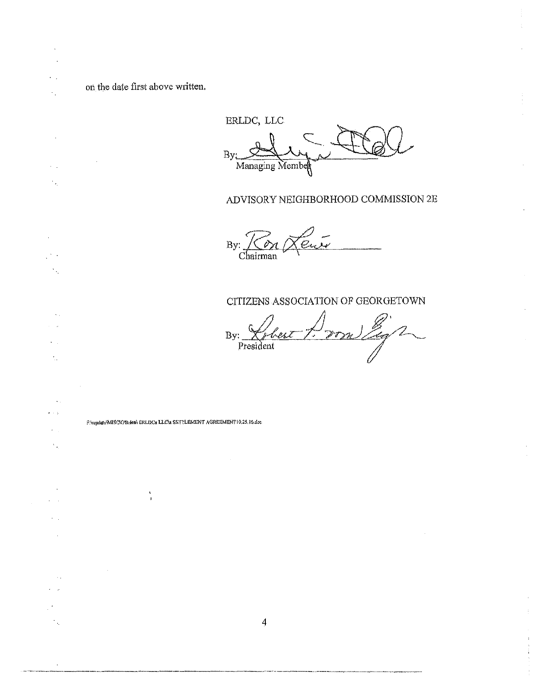on the date first above written.

 $\ddot{\phantom{1}}$ 

 $\mathcal{L}_{\mathcal{A}}$ 

 $\mathcal{C}^{\mathcal{C}}$  .  $\hat{\gamma}_{\hat{\sigma}_i}$ 

 $\sim$  .

 $\bar{z}$ 

 $\mathcal{L}_{\mathcal{A}}$  $\tilde{\gamma}_{\rm{in}}$ 

 $\ddot{\phantom{a}}$  $\omega \sim \omega_0$ 

> $\epsilon$  .  $\mathcal{F}_{\mathbf{p}}$

> > $\sim$

 $\sim$   $-$  .

 $\sim$ 

 $\gamma$ 

÷,

ERLDC, LLC B Managing Member ADVISORY NEIGHBORHOOD COMMISSION 2E <u>Eur</u>  $\frac{By: \sim \sim \sim \sim}{\text{Chairman}}$ CITIZENS ASSOCIATION OF GEORGETOWN Doon Eg2 By: President FAwjidata\MISC\O'Brien\ ERLDCa LLC\u SETTLEMENT AGREEMENT10.25.16.doc À  $\mathbf{I}$ 

 $\overline{4}$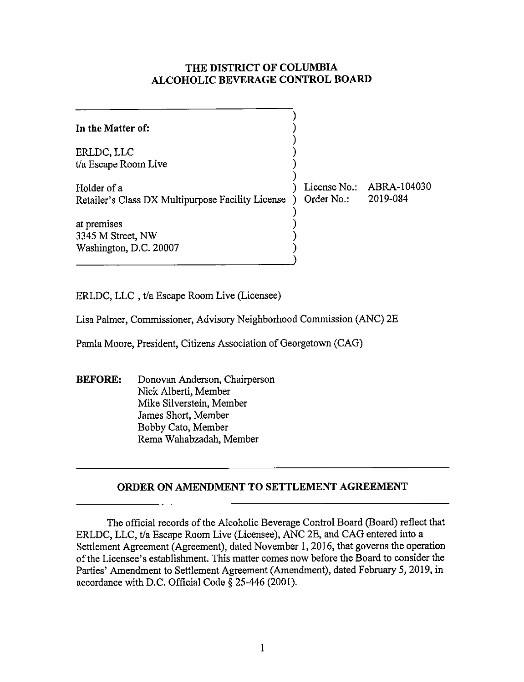### **THE DISTRICT OF COLUMBIA ALCOHOLIC BEVERAGE CONTROL BOARD**

| In the Matter of:                                                |                            |                         |
|------------------------------------------------------------------|----------------------------|-------------------------|
| ERLDC, LLC<br>t/a Escape Room Live                               |                            |                         |
| Holder of a<br>Retailer's Class DX Multipurpose Facility License | License No.:<br>Order No.: | ABRA-104030<br>2019-084 |
| at premises<br>3345 M Street, NW<br>Washington, D.C. 20007       |                            |                         |

ERLDC, LLC , t/a Escape Room Live (Licensee)

Lisa Palmer, Commissioner, Advisory Neighborhood Commission (ANC) 2E

Pamla Moore, President, Citizens Association of Georgetown (CAG)

**BEFORE:** Donovan Anderson, Chairperson Nick Alberti, Member Mike Silverstein, Member James Short, Member Bobby Cato, Member Rema Wahabzadah, Member

## **ORDER ON AMENDMENT TO SETTLEMENT AGREEMENT**

The official records of the Alcoholic Beverage Control Board (Board) reflect that ERLDC, LLC, t/a Escape Room Live (Licensee), ANC 2E, and CAG entered into a Settlement Agreement (Agreement), dated November 1, 2016, that governs the operation of the Licensee's establishment. This matter comes now before the Board to consider the Parties' Amendment to Settlement Agreement (Amendment), dated February 5, 2019, in accordance with D.C. Official Code§ 25-446 (2001).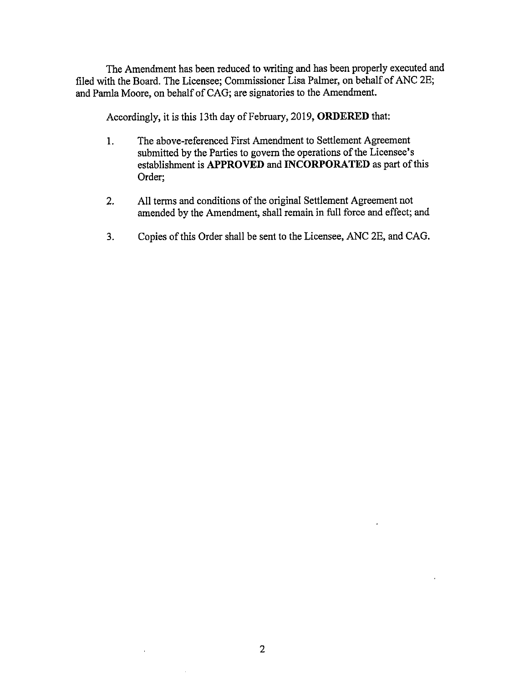The Amendment has been reduced to writing and has been properly executed and filed with the Board. The Licensee; Commissioner Lisa Palmer, on behalf of ANC 2E; and Pamla Moore, on behalf of CAG; are signatories to the Amendment.

Accordingly, it is this 13th day of February, 2019, **ORDERED** that:

- 1. The above-referenced First Amendment to Settlement Agreement submitted by the Parties to govern the operations of the Licensee's establishment is **APPROVED and INCORPORATED** as part of this Order;
- 2. All terms and conditions of the original Settlement Agreement not amended by the Amendment, shall remain in full force and effect; and
- 3. Copies of this Order shall be sent to the Licensee, ANC 2E, and CAG.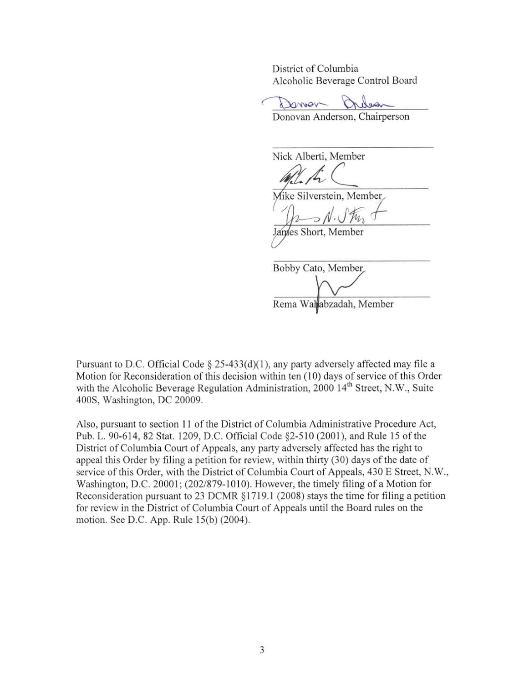District of Columbia Alcoholic Beverage Control Board

Doman

Donovan Anderson, Chairperson

Nick Alberti, Member */l/4 (\_\_* 

Mike Silverstein, Member

nes Short, Member

Bobby Cato, Member

Rema Waltabzadah, Member

Pursuant to D.C. Official Code  $\S$  25-433(d)(1), any party adversely affected may file a Motion for Reconsideration of this decision within ten (10) days of service of this Order with the Alcoholic Beverage Regulation Administration, 2000 14<sup>th</sup> Street, N.W., Suite 400S, Washington, DC 20009.

Also, pursuant to section 11 of the District of Columbia Administrative Procedure Act, Pub. L. 90-614, 82 Stat. 1209, D.C. Official Code §2-510 (2001), and Rule 15 of the District of Columbia Court of Appeals, any party adversely affected has the right to appeal this Order by filing a petition for review, within thirty (30) days of the date of service of this Order, with the District of Columbia Court of Appeals, 430 E Street, N.W., Washington, D.C. 20001; (202/879-1010). However, the timely filing of a Motion for Reconsideration pursuant to 23 DCMR § 1719. l (2008) stays the time for filing a petition for review in the District of Colwnbia Court of Appeals until the Board rules on the motion. See D.C. App. Rule 15(b) (2004).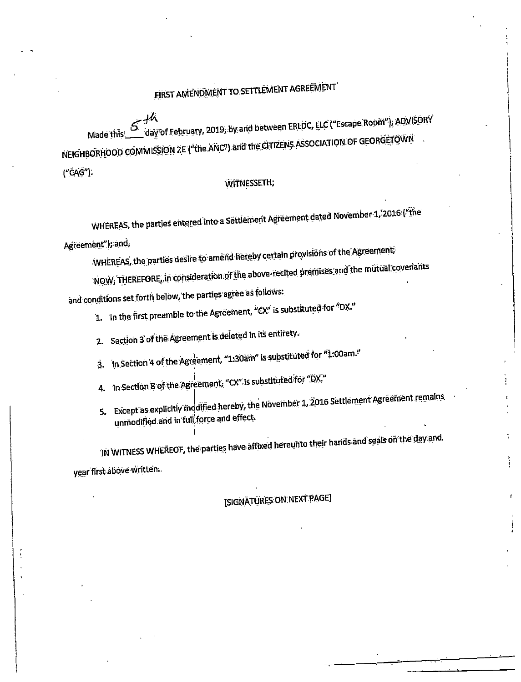# FIRST AMENOMENT TO SETTLEMENT AGREEMENT

Made this Served February, 2019, by and between ERLDC, LLC ("Escape Room"), ADVISORY NEIGHBORHOOD COMMISSION ZE ("the ANC") and the CITIZENS ASSOCIATION OF GEORGETOWN

("CAG").

#### **WITNESSETH:**

WHEREAS, the parties entered into a Settlement Agreement dated November 1, 2016; ("the

Agreement"); and,

WHEREAS, the parties desire to amend hereby certain provisions of the Agreement.

NOW, THEREFORE, in consideration of the above-recited premises and the mutual covenants

and conditions set forth below, the parties agree as follows:

1. In the first preamble to the Agreement, "CX" is substituted for "DX."

- 2. Section 3 of the Agreement is deleted in its entirety.
- 3. In Section 4 of the Agreement, "1:30am" is substituted for "1:00am."
- 4. In Section 8 of the Agreement, "CX" is substituted for "DX"
- 5. Except as explicitly modified hereby, the November 1, 2016 Settlement Agreement remains unmodified and in full force and effect.

IN WITNESS WHEREOF, the parties have affixed hereunto their hands and seals on the day and. year first above written.

[SIGNATURES:ON NEXT PAGE]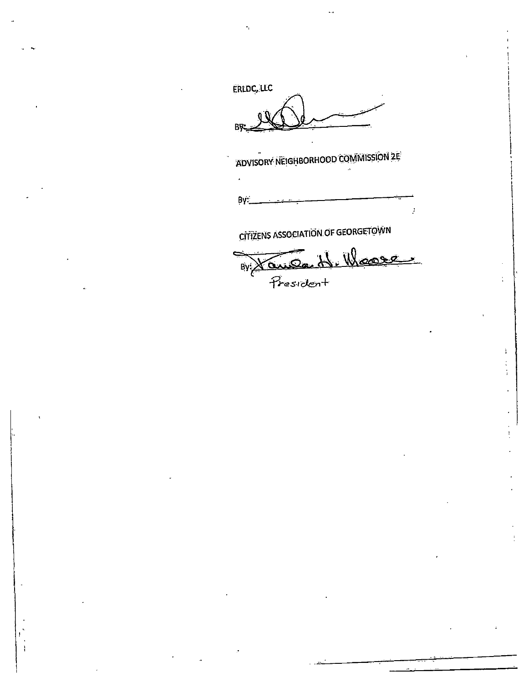ERLDC, LLC

**BA** 

ADVISORY NEIGHBORHOOD COMMISSION 2E

By:

Ĵ.

**CITIZENS ASSOCIATION OF GEORGETOWN** 

By Xaude H. Woose